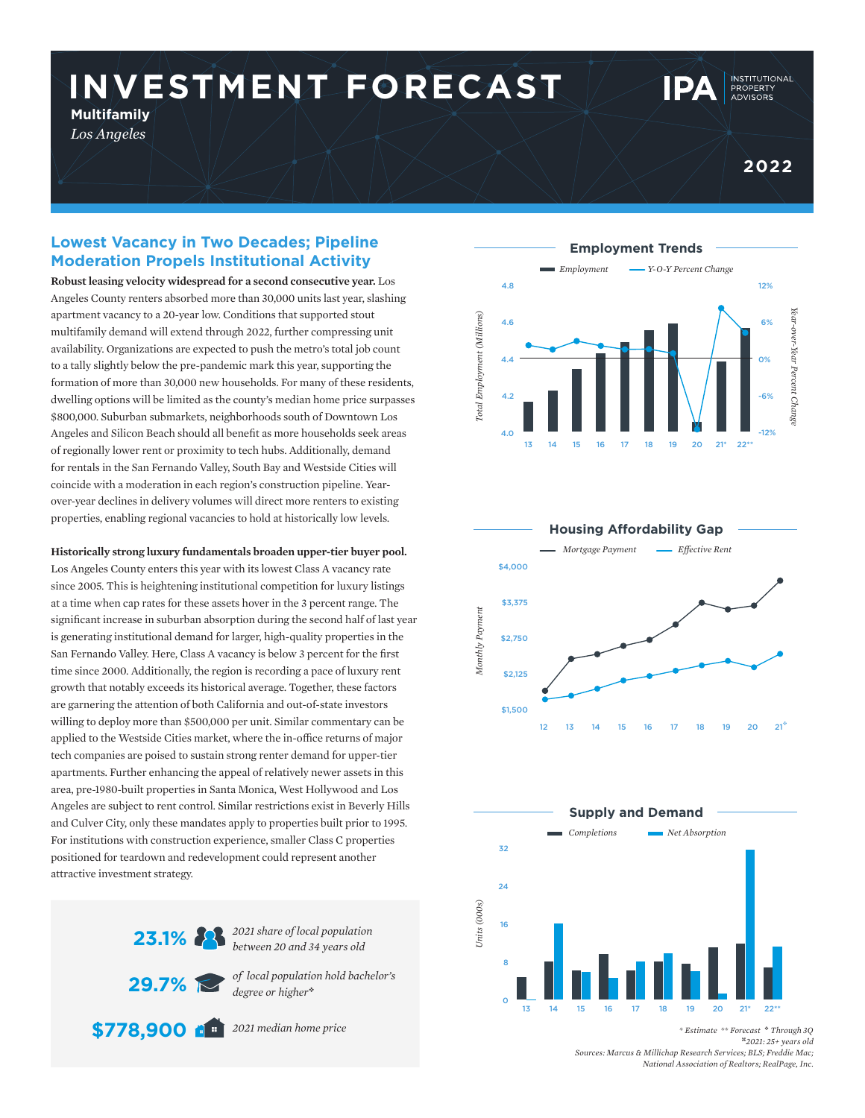# **INVESTMENT FORECAST**

**Multifamily** *Los Angeles*

**INSTITUTIONAL** 

### **Lowest Vacancy in Two Decades; Pipeline Moderation Propels Institutional Activity**

**Robust leasing velocity widespread for a second consecutive year.** Los Angeles County renters absorbed more than 30,000 units last year, slashing apartment vacancy to a 20-year low. Conditions that supported stout multifamily demand will extend through 2022, further compressing unit availability. Organizations are expected to push the metro's total job count to a tally slightly below the pre-pandemic mark this year, supporting the formation of more than 30,000 new households. For many of these residents, dwelling options will be limited as the county's median home price surpasses \$800,000. Suburban submarkets, neighborhoods south of Downtown Los Angeles and Silicon Beach should all benefit as more households seek areas of regionally lower rent or proximity to tech hubs. Additionally, demand for rentals in the San Fernando Valley, South Bay and Westside Cities will coincide with a moderation in each region's construction pipeline. Yearover-year declines in delivery volumes will direct more renters to existing properties, enabling regional vacancies to hold at historically low levels.

**Historically strong luxury fundamentals broaden upper-tier buyer pool.** 

Los Angeles County enters this year with its lowest Class A vacancy rate since 2005. This is heightening institutional competition for luxury listings at a time when cap rates for these assets hover in the 3 percent range. The significant increase in suburban absorption during the second half of last year is generating institutional demand for larger, high-quality properties in the San Fernando Valley. Here, Class A vacancy is below 3 percent for the first time since 2000. Additionally, the region is recording a pace of luxury rent growth that notably exceeds its historical average. Together, these factors are garnering the attention of both California and out-of-state investors willing to deploy more than \$500,000 per unit. Similar commentary can be applied to the Westside Cities market, where the in-office returns of major tech companies are poised to sustain strong renter demand for upper-tier apartments. Further enhancing the appeal of relatively newer assets in this area, pre-1980-built properties in Santa Monica, West Hollywood and Los Angeles are subject to rent control. Similar restrictions exist in Beverly Hills and Culver City, only these mandates apply to properties built prior to 1995. For institutions with construction experience, smaller Class C properties positioned for teardown and redevelopment could represent another attractive investment strategy.



*between 20 and 34 years old*

*of local population hold bachelor's degree or higher*<sup>v</sup>

*2021 median home price* **\$778,900**







*\* Estimate \*\* Forecast* <sup>v</sup> *Through 3Q* <sup>z</sup>*2021: 25+ years old Sources: Marcus & Millichap Research Services; BLS; Freddie Mac; National Association of Realtors; RealPage, Inc.*